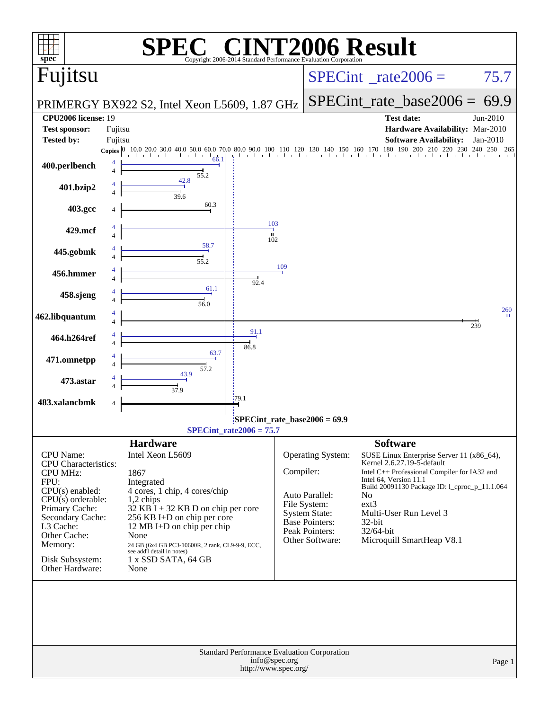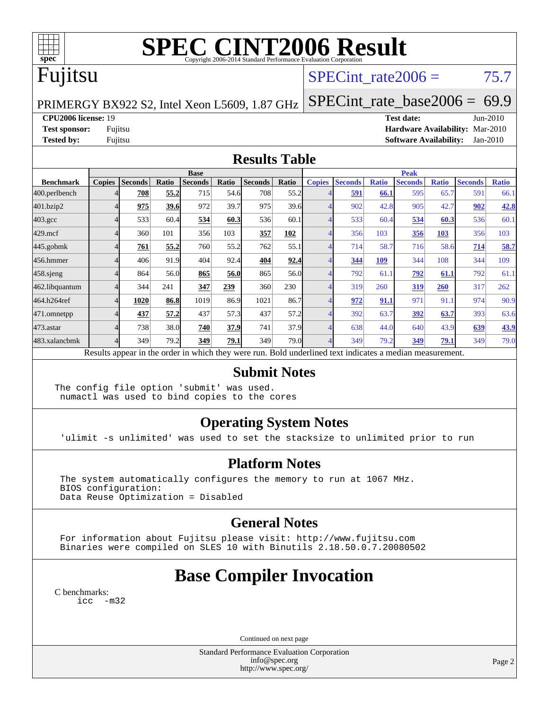

# **[SPEC CINT2006 Result](http://www.spec.org/auto/cpu2006/Docs/result-fields.html#SPECCINT2006Result)**

# Fujitsu

## SPECint rate $2006 = 75.7$

PRIMERGY BX922 S2, Intel Xeon L5609, 1.87 GHz

**[Tested by:](http://www.spec.org/auto/cpu2006/Docs/result-fields.html#Testedby)** Fujitsu **[Software Availability:](http://www.spec.org/auto/cpu2006/Docs/result-fields.html#SoftwareAvailability)** Jan-2010

[SPECint\\_rate\\_base2006 =](http://www.spec.org/auto/cpu2006/Docs/result-fields.html#SPECintratebase2006) 69.9 **[CPU2006 license:](http://www.spec.org/auto/cpu2006/Docs/result-fields.html#CPU2006license)** 19 **[Test date:](http://www.spec.org/auto/cpu2006/Docs/result-fields.html#Testdate)** Jun-2010 **[Test sponsor:](http://www.spec.org/auto/cpu2006/Docs/result-fields.html#Testsponsor)** Fujitsu **[Hardware Availability:](http://www.spec.org/auto/cpu2006/Docs/result-fields.html#HardwareAvailability)** Mar-2010

### **[Results Table](http://www.spec.org/auto/cpu2006/Docs/result-fields.html#ResultsTable)**

|                    | <b>Base</b>   |                |             |                |       |                                                                                                          |       |               | <b>Peak</b>    |              |                |              |                |              |  |
|--------------------|---------------|----------------|-------------|----------------|-------|----------------------------------------------------------------------------------------------------------|-------|---------------|----------------|--------------|----------------|--------------|----------------|--------------|--|
| <b>Benchmark</b>   | <b>Copies</b> | <b>Seconds</b> | Ratio       | <b>Seconds</b> | Ratio | <b>Seconds</b>                                                                                           | Ratio | <b>Copies</b> | <b>Seconds</b> | <b>Ratio</b> | <b>Seconds</b> | <b>Ratio</b> | <b>Seconds</b> | <b>Ratio</b> |  |
| 400.perlbench      |               | 708            | 55.2        | 715            | 54.6  | 708                                                                                                      | 55.2  |               | 591            | 66.1         | 595            | 65.7         | 591            | 66.1         |  |
| 401.bzip2          |               | 975            | <b>39.6</b> | 972            | 39.7  | 975                                                                                                      | 39.6  |               | 902            | 42.8         | 905            | 42.7         | 902            | 42.8         |  |
| $403.\mathrm{gcc}$ |               | 533            | 60.4        | 534            | 60.3  | 536                                                                                                      | 60.1  |               | 533            | 60.4         | 534            | 60.3         | 536            | 60.1         |  |
| $429$ .mcf         |               | 360            | 101         | 356            | 103   | 357                                                                                                      | 102   |               | 356            | 103          | 356            | 103          | 356            | 103          |  |
| $445$ .gobmk       |               | 761            | 55.2        | 760            | 55.2  | 762                                                                                                      | 55.1  |               | 714            | 58.7         | 716            | 58.6         | 714            | 58.7         |  |
| 456.hmmer          |               | 406            | 91.9        | 404            | 92.4  | 404                                                                                                      | 92.4  |               | 344            | 109          | 344            | 108          | 344            | 109          |  |
| $458$ .sjeng       |               | 864            | 56.0        | 865            | 56.0  | 865                                                                                                      | 56.0  |               | 792            | 61.1         | 792            | 61.1         | 792            | 61.1         |  |
| 462.libquantum     |               | 344            | 241         | 347            | 239   | 360                                                                                                      | 230   |               | 319            | 260          | 319            | 260          | 317            | 262          |  |
| 464.h264ref        |               | 1020           | 86.8        | 1019           | 86.9  | 1021                                                                                                     | 86.7  |               | 972            | 91.1         | 971            | 91.1         | 974            | 90.9         |  |
| 471.omnetpp        |               | 437            | 57.2        | 437            | 57.3  | 437                                                                                                      | 57.2  |               | 392            | 63.7         | 392            | 63.7         | 393            | 63.6         |  |
| $473$ . astar      |               | 738            | 38.0        | 740            | 37.9  | 741                                                                                                      | 37.9  |               | 638            | 44.0         | 640            | 43.9         | 639            | 43.9         |  |
| 483.xalancbmk      |               | 349            | 79.2        | 349            | 79.1  | 349                                                                                                      | 79.0  |               | 349            | 79.2         | 349            | 79.1         | 349            | 79.0         |  |
|                    |               |                |             |                |       | Results appear in the order in which they were run. Bold underlined text indicates a median measurement. |       |               |                |              |                |              |                |              |  |

#### **[Submit Notes](http://www.spec.org/auto/cpu2006/Docs/result-fields.html#SubmitNotes)**

The config file option 'submit' was used. numactl was used to bind copies to the cores

## **[Operating System Notes](http://www.spec.org/auto/cpu2006/Docs/result-fields.html#OperatingSystemNotes)**

'ulimit -s unlimited' was used to set the stacksize to unlimited prior to run

### **[Platform Notes](http://www.spec.org/auto/cpu2006/Docs/result-fields.html#PlatformNotes)**

 The system automatically configures the memory to run at 1067 MHz. BIOS configuration: Data Reuse Optimization = Disabled

## **[General Notes](http://www.spec.org/auto/cpu2006/Docs/result-fields.html#GeneralNotes)**

 For information about Fujitsu please visit: <http://www.fujitsu.com> Binaries were compiled on SLES 10 with Binutils 2.18.50.0.7.20080502

## **[Base Compiler Invocation](http://www.spec.org/auto/cpu2006/Docs/result-fields.html#BaseCompilerInvocation)**

[C benchmarks](http://www.spec.org/auto/cpu2006/Docs/result-fields.html#Cbenchmarks): [icc -m32](http://www.spec.org/cpu2006/results/res2010q3/cpu2006-20100716-12455.flags.html#user_CCbase_intel_icc_32bit_5ff4a39e364c98233615fdd38438c6f2)

Continued on next page

Standard Performance Evaluation Corporation [info@spec.org](mailto:info@spec.org) <http://www.spec.org/>

Page 2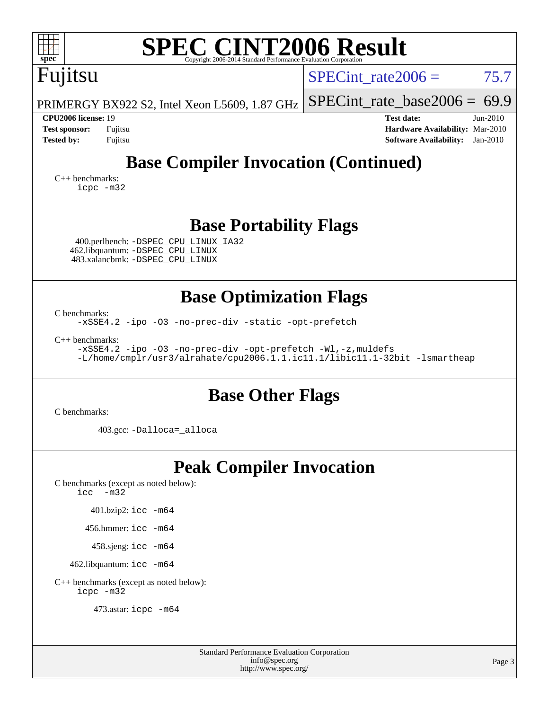| <b>SPEC CINT2006 Result</b>                                                                                                                                                                                                                                                   |                                                                                                                 |  |  |  |  |  |  |  |
|-------------------------------------------------------------------------------------------------------------------------------------------------------------------------------------------------------------------------------------------------------------------------------|-----------------------------------------------------------------------------------------------------------------|--|--|--|--|--|--|--|
| ${\bf spec}^*$<br>Copyright 2006-2014 Standard Performance Evaluation Corporation<br>Fujitsu                                                                                                                                                                                  | SPECint rate $2006 =$<br>75.7                                                                                   |  |  |  |  |  |  |  |
| PRIMERGY BX922 S2, Intel Xeon L5609, 1.87 GHz                                                                                                                                                                                                                                 | $SPECint_rate_base2006 = 69.9$                                                                                  |  |  |  |  |  |  |  |
| <b>CPU2006 license: 19</b><br><b>Test sponsor:</b><br>Fujitsu<br><b>Tested by:</b><br>Fujitsu                                                                                                                                                                                 | <b>Test date:</b><br>Jun-2010<br>Hardware Availability: Mar-2010<br><b>Software Availability:</b><br>$Jan-2010$ |  |  |  |  |  |  |  |
| <b>Base Compiler Invocation (Continued)</b><br>$C_{++}$ benchmarks:<br>icpc -m32                                                                                                                                                                                              |                                                                                                                 |  |  |  |  |  |  |  |
| <b>Base Portability Flags</b><br>400.perlbench: -DSPEC_CPU_LINUX_IA32<br>462.libquantum: -DSPEC_CPU_LINUX<br>483.xalancbmk: - DSPEC CPU LINUX                                                                                                                                 |                                                                                                                 |  |  |  |  |  |  |  |
| <b>Base Optimization Flags</b><br>C benchmarks:<br>-xSSE4.2 -ipo -03 -no-prec-div -static -opt-prefetch<br>$C_{++}$ benchmarks:<br>-xSSE4.2 -ipo -03 -no-prec-div -opt-prefetch -Wl,-z, muldefs<br>-L/home/cmplr/usr3/alrahate/cpu2006.1.1.ic11.1/libic11.1-32bit -lsmartheap |                                                                                                                 |  |  |  |  |  |  |  |
| <b>Base Other Flags</b><br>C benchmarks:<br>403.gcc: -Dalloca=_alloca                                                                                                                                                                                                         |                                                                                                                 |  |  |  |  |  |  |  |
| <b>Peak Compiler Invocation</b><br>C benchmarks (except as noted below):<br>icc<br>$-m32$<br>401.bzip2: icc -m64<br>456.hmmer: $\text{icc}$ -m64<br>458.sjeng: icc -m64<br>462.libquantum: icc -m64<br>C++ benchmarks (except as noted below):<br>icpc -m32                   |                                                                                                                 |  |  |  |  |  |  |  |

473.astar: [icpc -m64](http://www.spec.org/cpu2006/results/res2010q3/cpu2006-20100716-12455.flags.html#user_peakCXXLD473_astar_intel_icpc_64bit_fc66a5337ce925472a5c54ad6a0de310)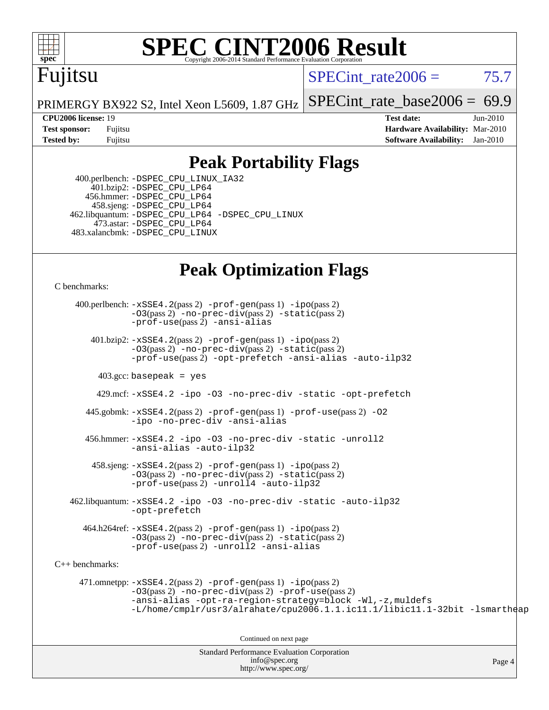

# **[SPEC CINT2006 Result](http://www.spec.org/auto/cpu2006/Docs/result-fields.html#SPECCINT2006Result)**

## Fujitsu

SPECint rate  $2006 = 75.7$ 

Page 4

PRIMERGY BX922 S2, Intel Xeon L5609, 1.87 GHz [SPECint\\_rate\\_base2006 =](http://www.spec.org/auto/cpu2006/Docs/result-fields.html#SPECintratebase2006) 69.9

**[CPU2006 license:](http://www.spec.org/auto/cpu2006/Docs/result-fields.html#CPU2006license)** 19 **[Test date:](http://www.spec.org/auto/cpu2006/Docs/result-fields.html#Testdate)** Jun-2010 **[Test sponsor:](http://www.spec.org/auto/cpu2006/Docs/result-fields.html#Testsponsor)** Fujitsu **[Hardware Availability:](http://www.spec.org/auto/cpu2006/Docs/result-fields.html#HardwareAvailability)** Mar-2010 **[Tested by:](http://www.spec.org/auto/cpu2006/Docs/result-fields.html#Testedby)** Fujitsu **[Software Availability:](http://www.spec.org/auto/cpu2006/Docs/result-fields.html#SoftwareAvailability)** Jan-2010

## **[Peak Portability Flags](http://www.spec.org/auto/cpu2006/Docs/result-fields.html#PeakPortabilityFlags)**

 400.perlbench: [-DSPEC\\_CPU\\_LINUX\\_IA32](http://www.spec.org/cpu2006/results/res2010q3/cpu2006-20100716-12455.flags.html#b400.perlbench_peakCPORTABILITY_DSPEC_CPU_LINUX_IA32) 401.bzip2: [-DSPEC\\_CPU\\_LP64](http://www.spec.org/cpu2006/results/res2010q3/cpu2006-20100716-12455.flags.html#suite_peakCPORTABILITY401_bzip2_DSPEC_CPU_LP64) 456.hmmer: [-DSPEC\\_CPU\\_LP64](http://www.spec.org/cpu2006/results/res2010q3/cpu2006-20100716-12455.flags.html#suite_peakCPORTABILITY456_hmmer_DSPEC_CPU_LP64) 458.sjeng: [-DSPEC\\_CPU\\_LP64](http://www.spec.org/cpu2006/results/res2010q3/cpu2006-20100716-12455.flags.html#suite_peakCPORTABILITY458_sjeng_DSPEC_CPU_LP64) 462.libquantum: [-DSPEC\\_CPU\\_LP64](http://www.spec.org/cpu2006/results/res2010q3/cpu2006-20100716-12455.flags.html#suite_peakCPORTABILITY462_libquantum_DSPEC_CPU_LP64) [-DSPEC\\_CPU\\_LINUX](http://www.spec.org/cpu2006/results/res2010q3/cpu2006-20100716-12455.flags.html#b462.libquantum_peakCPORTABILITY_DSPEC_CPU_LINUX) 473.astar: [-DSPEC\\_CPU\\_LP64](http://www.spec.org/cpu2006/results/res2010q3/cpu2006-20100716-12455.flags.html#suite_peakCXXPORTABILITY473_astar_DSPEC_CPU_LP64) 483.xalancbmk: [-DSPEC\\_CPU\\_LINUX](http://www.spec.org/cpu2006/results/res2010q3/cpu2006-20100716-12455.flags.html#b483.xalancbmk_peakCXXPORTABILITY_DSPEC_CPU_LINUX)

## **[Peak Optimization Flags](http://www.spec.org/auto/cpu2006/Docs/result-fields.html#PeakOptimizationFlags)**

[C benchmarks](http://www.spec.org/auto/cpu2006/Docs/result-fields.html#Cbenchmarks):

Standard Performance Evaluation Corporation 400.perlbench: [-xSSE4.2](http://www.spec.org/cpu2006/results/res2010q3/cpu2006-20100716-12455.flags.html#user_peakPASS2_CFLAGSPASS2_LDCFLAGS400_perlbench_f-xSSE42_f91528193cf0b216347adb8b939d4107)(pass 2) [-prof-gen](http://www.spec.org/cpu2006/results/res2010q3/cpu2006-20100716-12455.flags.html#user_peakPASS1_CFLAGSPASS1_LDCFLAGS400_perlbench_prof_gen_e43856698f6ca7b7e442dfd80e94a8fc)(pass 1) [-ipo](http://www.spec.org/cpu2006/results/res2010q3/cpu2006-20100716-12455.flags.html#user_peakPASS2_CFLAGSPASS2_LDCFLAGS400_perlbench_f-ipo)(pass 2) [-O3](http://www.spec.org/cpu2006/results/res2010q3/cpu2006-20100716-12455.flags.html#user_peakPASS2_CFLAGSPASS2_LDCFLAGS400_perlbench_f-O3)(pass 2) [-no-prec-div](http://www.spec.org/cpu2006/results/res2010q3/cpu2006-20100716-12455.flags.html#user_peakPASS2_CFLAGSPASS2_LDCFLAGS400_perlbench_f-no-prec-div)(pass 2) [-static](http://www.spec.org/cpu2006/results/res2010q3/cpu2006-20100716-12455.flags.html#user_peakPASS2_CFLAGSPASS2_LDCFLAGS400_perlbench_f-static)(pass 2) [-prof-use](http://www.spec.org/cpu2006/results/res2010q3/cpu2006-20100716-12455.flags.html#user_peakPASS2_CFLAGSPASS2_LDCFLAGS400_perlbench_prof_use_bccf7792157ff70d64e32fe3e1250b55)(pass 2) [-ansi-alias](http://www.spec.org/cpu2006/results/res2010q3/cpu2006-20100716-12455.flags.html#user_peakCOPTIMIZE400_perlbench_f-ansi-alias) 401.bzip2: [-xSSE4.2](http://www.spec.org/cpu2006/results/res2010q3/cpu2006-20100716-12455.flags.html#user_peakPASS2_CFLAGSPASS2_LDCFLAGS401_bzip2_f-xSSE42_f91528193cf0b216347adb8b939d4107)(pass 2) [-prof-gen](http://www.spec.org/cpu2006/results/res2010q3/cpu2006-20100716-12455.flags.html#user_peakPASS1_CFLAGSPASS1_LDCFLAGS401_bzip2_prof_gen_e43856698f6ca7b7e442dfd80e94a8fc)(pass 1) [-ipo](http://www.spec.org/cpu2006/results/res2010q3/cpu2006-20100716-12455.flags.html#user_peakPASS2_CFLAGSPASS2_LDCFLAGS401_bzip2_f-ipo)(pass 2) [-O3](http://www.spec.org/cpu2006/results/res2010q3/cpu2006-20100716-12455.flags.html#user_peakPASS2_CFLAGSPASS2_LDCFLAGS401_bzip2_f-O3)(pass 2) [-no-prec-div](http://www.spec.org/cpu2006/results/res2010q3/cpu2006-20100716-12455.flags.html#user_peakPASS2_CFLAGSPASS2_LDCFLAGS401_bzip2_f-no-prec-div)(pass 2) [-static](http://www.spec.org/cpu2006/results/res2010q3/cpu2006-20100716-12455.flags.html#user_peakPASS2_CFLAGSPASS2_LDCFLAGS401_bzip2_f-static)(pass 2) [-prof-use](http://www.spec.org/cpu2006/results/res2010q3/cpu2006-20100716-12455.flags.html#user_peakPASS2_CFLAGSPASS2_LDCFLAGS401_bzip2_prof_use_bccf7792157ff70d64e32fe3e1250b55)(pass 2) [-opt-prefetch](http://www.spec.org/cpu2006/results/res2010q3/cpu2006-20100716-12455.flags.html#user_peakCOPTIMIZE401_bzip2_f-opt-prefetch) [-ansi-alias](http://www.spec.org/cpu2006/results/res2010q3/cpu2006-20100716-12455.flags.html#user_peakCOPTIMIZE401_bzip2_f-ansi-alias) [-auto-ilp32](http://www.spec.org/cpu2006/results/res2010q3/cpu2006-20100716-12455.flags.html#user_peakCOPTIMIZE401_bzip2_f-auto-ilp32)  $403.\text{gcc: basepeak}$  = yes 429.mcf: [-xSSE4.2](http://www.spec.org/cpu2006/results/res2010q3/cpu2006-20100716-12455.flags.html#user_peakCOPTIMIZE429_mcf_f-xSSE42_f91528193cf0b216347adb8b939d4107) [-ipo](http://www.spec.org/cpu2006/results/res2010q3/cpu2006-20100716-12455.flags.html#user_peakCOPTIMIZE429_mcf_f-ipo) [-O3](http://www.spec.org/cpu2006/results/res2010q3/cpu2006-20100716-12455.flags.html#user_peakCOPTIMIZE429_mcf_f-O3) [-no-prec-div](http://www.spec.org/cpu2006/results/res2010q3/cpu2006-20100716-12455.flags.html#user_peakCOPTIMIZE429_mcf_f-no-prec-div) [-static](http://www.spec.org/cpu2006/results/res2010q3/cpu2006-20100716-12455.flags.html#user_peakCOPTIMIZE429_mcf_f-static) [-opt-prefetch](http://www.spec.org/cpu2006/results/res2010q3/cpu2006-20100716-12455.flags.html#user_peakCOPTIMIZE429_mcf_f-opt-prefetch) 445.gobmk: [-xSSE4.2](http://www.spec.org/cpu2006/results/res2010q3/cpu2006-20100716-12455.flags.html#user_peakPASS2_CFLAGSPASS2_LDCFLAGS445_gobmk_f-xSSE42_f91528193cf0b216347adb8b939d4107)(pass 2) [-prof-gen](http://www.spec.org/cpu2006/results/res2010q3/cpu2006-20100716-12455.flags.html#user_peakPASS1_CFLAGSPASS1_LDCFLAGS445_gobmk_prof_gen_e43856698f6ca7b7e442dfd80e94a8fc)(pass 1) [-prof-use](http://www.spec.org/cpu2006/results/res2010q3/cpu2006-20100716-12455.flags.html#user_peakPASS2_CFLAGSPASS2_LDCFLAGS445_gobmk_prof_use_bccf7792157ff70d64e32fe3e1250b55)(pass 2) [-O2](http://www.spec.org/cpu2006/results/res2010q3/cpu2006-20100716-12455.flags.html#user_peakCOPTIMIZE445_gobmk_f-O2) [-ipo](http://www.spec.org/cpu2006/results/res2010q3/cpu2006-20100716-12455.flags.html#user_peakCOPTIMIZE445_gobmk_f-ipo) [-no-prec-div](http://www.spec.org/cpu2006/results/res2010q3/cpu2006-20100716-12455.flags.html#user_peakCOPTIMIZE445_gobmk_f-no-prec-div) [-ansi-alias](http://www.spec.org/cpu2006/results/res2010q3/cpu2006-20100716-12455.flags.html#user_peakCOPTIMIZE445_gobmk_f-ansi-alias) 456.hmmer: [-xSSE4.2](http://www.spec.org/cpu2006/results/res2010q3/cpu2006-20100716-12455.flags.html#user_peakCOPTIMIZE456_hmmer_f-xSSE42_f91528193cf0b216347adb8b939d4107) [-ipo](http://www.spec.org/cpu2006/results/res2010q3/cpu2006-20100716-12455.flags.html#user_peakCOPTIMIZE456_hmmer_f-ipo) [-O3](http://www.spec.org/cpu2006/results/res2010q3/cpu2006-20100716-12455.flags.html#user_peakCOPTIMIZE456_hmmer_f-O3) [-no-prec-div](http://www.spec.org/cpu2006/results/res2010q3/cpu2006-20100716-12455.flags.html#user_peakCOPTIMIZE456_hmmer_f-no-prec-div) [-static](http://www.spec.org/cpu2006/results/res2010q3/cpu2006-20100716-12455.flags.html#user_peakCOPTIMIZE456_hmmer_f-static) [-unroll2](http://www.spec.org/cpu2006/results/res2010q3/cpu2006-20100716-12455.flags.html#user_peakCOPTIMIZE456_hmmer_f-unroll_784dae83bebfb236979b41d2422d7ec2) [-ansi-alias](http://www.spec.org/cpu2006/results/res2010q3/cpu2006-20100716-12455.flags.html#user_peakCOPTIMIZE456_hmmer_f-ansi-alias) [-auto-ilp32](http://www.spec.org/cpu2006/results/res2010q3/cpu2006-20100716-12455.flags.html#user_peakCOPTIMIZE456_hmmer_f-auto-ilp32)  $458 \text{.}$  sjeng:  $-xSSE4$ .  $2(\text{pass 2})$  -prof-qen(pass 1) [-ipo](http://www.spec.org/cpu2006/results/res2010q3/cpu2006-20100716-12455.flags.html#user_peakPASS2_CFLAGSPASS2_LDCFLAGS458_sjeng_f-ipo)(pass 2) [-O3](http://www.spec.org/cpu2006/results/res2010q3/cpu2006-20100716-12455.flags.html#user_peakPASS2_CFLAGSPASS2_LDCFLAGS458_sjeng_f-O3)(pass 2) [-no-prec-div](http://www.spec.org/cpu2006/results/res2010q3/cpu2006-20100716-12455.flags.html#user_peakPASS2_CFLAGSPASS2_LDCFLAGS458_sjeng_f-no-prec-div)(pass 2) [-static](http://www.spec.org/cpu2006/results/res2010q3/cpu2006-20100716-12455.flags.html#user_peakPASS2_CFLAGSPASS2_LDCFLAGS458_sjeng_f-static)(pass 2) [-prof-use](http://www.spec.org/cpu2006/results/res2010q3/cpu2006-20100716-12455.flags.html#user_peakPASS2_CFLAGSPASS2_LDCFLAGS458_sjeng_prof_use_bccf7792157ff70d64e32fe3e1250b55)(pass 2) [-unroll4](http://www.spec.org/cpu2006/results/res2010q3/cpu2006-20100716-12455.flags.html#user_peakCOPTIMIZE458_sjeng_f-unroll_4e5e4ed65b7fd20bdcd365bec371b81f) [-auto-ilp32](http://www.spec.org/cpu2006/results/res2010q3/cpu2006-20100716-12455.flags.html#user_peakCOPTIMIZE458_sjeng_f-auto-ilp32) 462.libquantum: [-xSSE4.2](http://www.spec.org/cpu2006/results/res2010q3/cpu2006-20100716-12455.flags.html#user_peakCOPTIMIZE462_libquantum_f-xSSE42_f91528193cf0b216347adb8b939d4107) [-ipo](http://www.spec.org/cpu2006/results/res2010q3/cpu2006-20100716-12455.flags.html#user_peakCOPTIMIZE462_libquantum_f-ipo) [-O3](http://www.spec.org/cpu2006/results/res2010q3/cpu2006-20100716-12455.flags.html#user_peakCOPTIMIZE462_libquantum_f-O3) [-no-prec-div](http://www.spec.org/cpu2006/results/res2010q3/cpu2006-20100716-12455.flags.html#user_peakCOPTIMIZE462_libquantum_f-no-prec-div) [-static](http://www.spec.org/cpu2006/results/res2010q3/cpu2006-20100716-12455.flags.html#user_peakCOPTIMIZE462_libquantum_f-static) [-auto-ilp32](http://www.spec.org/cpu2006/results/res2010q3/cpu2006-20100716-12455.flags.html#user_peakCOPTIMIZE462_libquantum_f-auto-ilp32) [-opt-prefetch](http://www.spec.org/cpu2006/results/res2010q3/cpu2006-20100716-12455.flags.html#user_peakCOPTIMIZE462_libquantum_f-opt-prefetch) 464.h264ref: [-xSSE4.2](http://www.spec.org/cpu2006/results/res2010q3/cpu2006-20100716-12455.flags.html#user_peakPASS2_CFLAGSPASS2_LDCFLAGS464_h264ref_f-xSSE42_f91528193cf0b216347adb8b939d4107)(pass 2) [-prof-gen](http://www.spec.org/cpu2006/results/res2010q3/cpu2006-20100716-12455.flags.html#user_peakPASS1_CFLAGSPASS1_LDCFLAGS464_h264ref_prof_gen_e43856698f6ca7b7e442dfd80e94a8fc)(pass 1) [-ipo](http://www.spec.org/cpu2006/results/res2010q3/cpu2006-20100716-12455.flags.html#user_peakPASS2_CFLAGSPASS2_LDCFLAGS464_h264ref_f-ipo)(pass 2) [-O3](http://www.spec.org/cpu2006/results/res2010q3/cpu2006-20100716-12455.flags.html#user_peakPASS2_CFLAGSPASS2_LDCFLAGS464_h264ref_f-O3)(pass 2) [-no-prec-div](http://www.spec.org/cpu2006/results/res2010q3/cpu2006-20100716-12455.flags.html#user_peakPASS2_CFLAGSPASS2_LDCFLAGS464_h264ref_f-no-prec-div)(pass 2) [-static](http://www.spec.org/cpu2006/results/res2010q3/cpu2006-20100716-12455.flags.html#user_peakPASS2_CFLAGSPASS2_LDCFLAGS464_h264ref_f-static)(pass 2) [-prof-use](http://www.spec.org/cpu2006/results/res2010q3/cpu2006-20100716-12455.flags.html#user_peakPASS2_CFLAGSPASS2_LDCFLAGS464_h264ref_prof_use_bccf7792157ff70d64e32fe3e1250b55)(pass 2) [-unroll2](http://www.spec.org/cpu2006/results/res2010q3/cpu2006-20100716-12455.flags.html#user_peakCOPTIMIZE464_h264ref_f-unroll_784dae83bebfb236979b41d2422d7ec2) [-ansi-alias](http://www.spec.org/cpu2006/results/res2010q3/cpu2006-20100716-12455.flags.html#user_peakCOPTIMIZE464_h264ref_f-ansi-alias) [C++ benchmarks:](http://www.spec.org/auto/cpu2006/Docs/result-fields.html#CXXbenchmarks) 471.omnetpp: [-xSSE4.2](http://www.spec.org/cpu2006/results/res2010q3/cpu2006-20100716-12455.flags.html#user_peakPASS2_CXXFLAGSPASS2_LDCXXFLAGS471_omnetpp_f-xSSE42_f91528193cf0b216347adb8b939d4107)(pass 2) [-prof-gen](http://www.spec.org/cpu2006/results/res2010q3/cpu2006-20100716-12455.flags.html#user_peakPASS1_CXXFLAGSPASS1_LDCXXFLAGS471_omnetpp_prof_gen_e43856698f6ca7b7e442dfd80e94a8fc)(pass 1) [-ipo](http://www.spec.org/cpu2006/results/res2010q3/cpu2006-20100716-12455.flags.html#user_peakPASS2_CXXFLAGSPASS2_LDCXXFLAGS471_omnetpp_f-ipo)(pass 2) [-O3](http://www.spec.org/cpu2006/results/res2010q3/cpu2006-20100716-12455.flags.html#user_peakPASS2_CXXFLAGSPASS2_LDCXXFLAGS471_omnetpp_f-O3)(pass 2) [-no-prec-div](http://www.spec.org/cpu2006/results/res2010q3/cpu2006-20100716-12455.flags.html#user_peakPASS2_CXXFLAGSPASS2_LDCXXFLAGS471_omnetpp_f-no-prec-div)(pass 2) [-prof-use](http://www.spec.org/cpu2006/results/res2010q3/cpu2006-20100716-12455.flags.html#user_peakPASS2_CXXFLAGSPASS2_LDCXXFLAGS471_omnetpp_prof_use_bccf7792157ff70d64e32fe3e1250b55)(pass 2) [-ansi-alias](http://www.spec.org/cpu2006/results/res2010q3/cpu2006-20100716-12455.flags.html#user_peakCXXOPTIMIZE471_omnetpp_f-ansi-alias) [-opt-ra-region-strategy=block](http://www.spec.org/cpu2006/results/res2010q3/cpu2006-20100716-12455.flags.html#user_peakCXXOPTIMIZE471_omnetpp_f-opt-ra-region-strategy-block_a0a37c372d03933b2a18d4af463c1f69) [-Wl,-z,muldefs](http://www.spec.org/cpu2006/results/res2010q3/cpu2006-20100716-12455.flags.html#user_peakEXTRA_LDFLAGS471_omnetpp_link_force_multiple1_74079c344b956b9658436fd1b6dd3a8a) [-L/home/cmplr/usr3/alrahate/cpu2006.1.1.ic11.1/libic11.1-32bit -lsmartheap](http://www.spec.org/cpu2006/results/res2010q3/cpu2006-20100716-12455.flags.html#user_peakEXTRA_LIBS471_omnetpp_SmartHeap_d86dffe4a79b79ef8890d5cce17030c3) Continued on next page

> [info@spec.org](mailto:info@spec.org) <http://www.spec.org/>